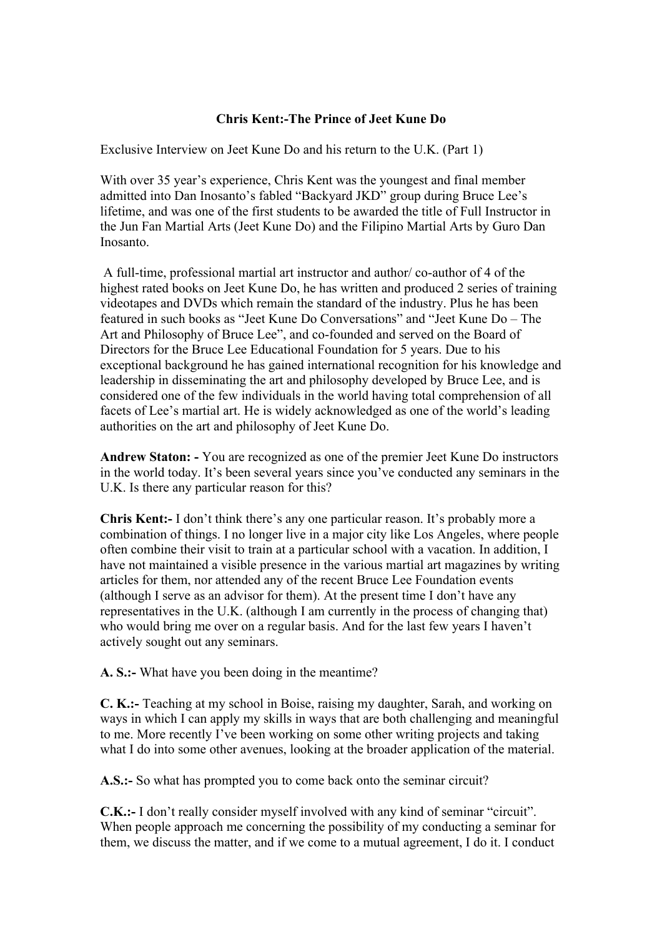## **Chris Kent:-The Prince of Jeet Kune Do**

Exclusive Interview on Jeet Kune Do and his return to the U.K. (Part 1)

With over 35 year's experience, Chris Kent was the youngest and final member admitted into Dan Inosanto's fabled "Backyard JKD" group during Bruce Lee's lifetime, and was one of the first students to be awarded the title of Full Instructor in the Jun Fan Martial Arts (Jeet Kune Do) and the Filipino Martial Arts by Guro Dan Inosanto.

A full-time, professional martial art instructor and author/ co-author of 4 of the highest rated books on Jeet Kune Do, he has written and produced 2 series of training videotapes and DVDs which remain the standard of the industry. Plus he has been featured in such books as "Jeet Kune Do Conversations" and "Jeet Kune Do – The Art and Philosophy of Bruce Lee", and co-founded and served on the Board of Directors for the Bruce Lee Educational Foundation for 5 years. Due to his exceptional background he has gained international recognition for his knowledge and leadership in disseminating the art and philosophy developed by Bruce Lee, and is considered one of the few individuals in the world having total comprehension of all facets of Lee's martial art. He is widely acknowledged as one of the world's leading authorities on the art and philosophy of Jeet Kune Do.

**Andrew Staton: -** You are recognized as one of the premier Jeet Kune Do instructors in the world today. It's been several years since you've conducted any seminars in the U.K. Is there any particular reason for this?

**Chris Kent:-** I don't think there's any one particular reason. It's probably more a combination of things. I no longer live in a major city like Los Angeles, where people often combine their visit to train at a particular school with a vacation. In addition, I have not maintained a visible presence in the various martial art magazines by writing articles for them, nor attended any of the recent Bruce Lee Foundation events (although I serve as an advisor for them). At the present time I don't have any representatives in the U.K. (although I am currently in the process of changing that) who would bring me over on a regular basis. And for the last few years I haven't actively sought out any seminars.

**A. S.:-** What have you been doing in the meantime?

**C. K.:-** Teaching at my school in Boise, raising my daughter, Sarah, and working on ways in which I can apply my skills in ways that are both challenging and meaningful to me. More recently I've been working on some other writing projects and taking what I do into some other avenues, looking at the broader application of the material.

**A.S.:-** So what has prompted you to come back onto the seminar circuit?

**C.K.:**- I don't really consider myself involved with any kind of seminar "circuit". When people approach me concerning the possibility of my conducting a seminar for them, we discuss the matter, and if we come to a mutual agreement, I do it. I conduct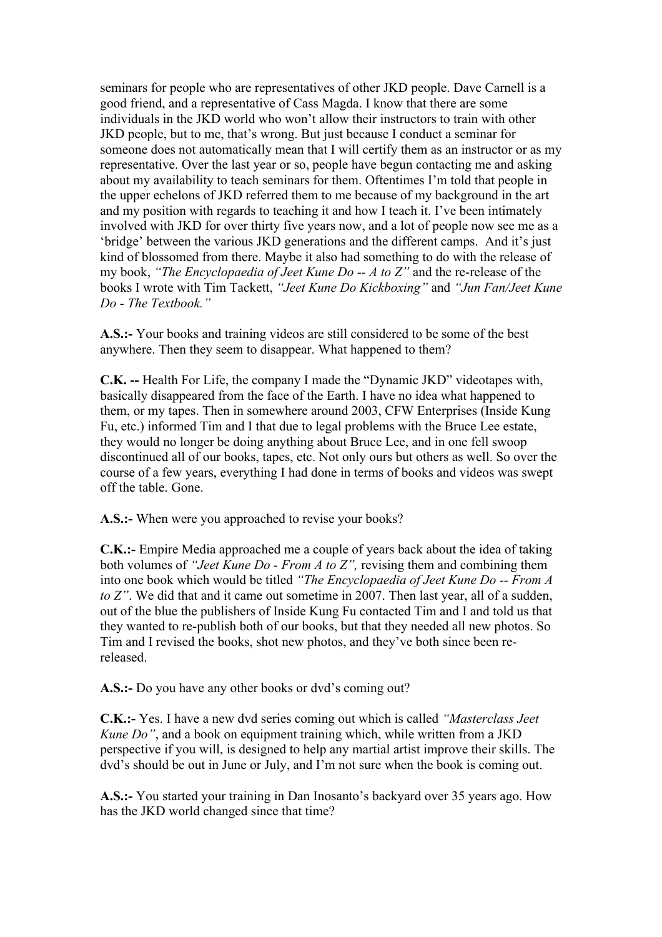seminars for people who are representatives of other JKD people. Dave Carnell is a good friend, and a representative of Cass Magda. I know that there are some individuals in the JKD world who won't allow their instructors to train with other JKD people, but to me, that's wrong. But just because I conduct a seminar for someone does not automatically mean that I will certify them as an instructor or as my representative. Over the last year or so, people have begun contacting me and asking about my availability to teach seminars for them. Oftentimes I'm told that people in the upper echelons of JKD referred them to me because of my background in the art and my position with regards to teaching it and how I teach it. I've been intimately involved with JKD for over thirty five years now, and a lot of people now see me as a 'bridge' between the various JKD generations and the different camps. And it's just kind of blossomed from there. Maybe it also had something to do with the release of my book, *"The Encyclopaedia of Jeet Kune Do -- A to Z"* and the re-release of the books I wrote with Tim Tackett, *"Jeet Kune Do Kickboxing"* and *"Jun Fan/Jeet Kune Do - The Textbook."*

**A.S.:-** Your books and training videos are still considered to be some of the best anywhere. Then they seem to disappear. What happened to them?

**C.K. --** Health For Life, the company I made the "Dynamic JKD" videotapes with, basically disappeared from the face of the Earth. I have no idea what happened to them, or my tapes. Then in somewhere around 2003, CFW Enterprises (Inside Kung Fu, etc.) informed Tim and I that due to legal problems with the Bruce Lee estate, they would no longer be doing anything about Bruce Lee, and in one fell swoop discontinued all of our books, tapes, etc. Not only ours but others as well. So over the course of a few years, everything I had done in terms of books and videos was swept off the table. Gone.

**A.S.:-** When were you approached to revise your books?

**C.K.:-** Empire Media approached me a couple of years back about the idea of taking both volumes of *"Jeet Kune Do - From A to Z",* revising them and combining them into one book which would be titled *"The Encyclopaedia of Jeet Kune Do -- From A to Z*". We did that and it came out sometime in 2007. Then last year, all of a sudden, out of the blue the publishers of Inside Kung Fu contacted Tim and I and told us that they wanted to re-publish both of our books, but that they needed all new photos. So Tim and I revised the books, shot new photos, and they've both since been rereleased.

**A.S.:-** Do you have any other books or dvd's coming out?

**C.K.:-** Yes. I have a new dvd series coming out which is called *"Masterclass Jeet Kune Do"*, and a book on equipment training which, while written from a JKD perspective if you will, is designed to help any martial artist improve their skills. The dvd's should be out in June or July, and I'm not sure when the book is coming out.

**A.S.:-** You started your training in Dan Inosanto's backyard over 35 years ago. How has the JKD world changed since that time?